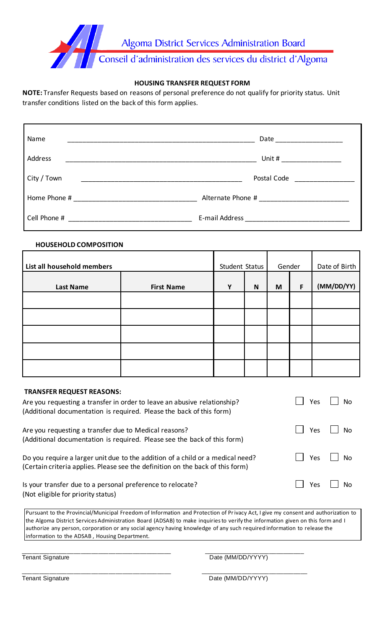

# **HOUSING TRANSFER REQUEST FORM**

**NOTE:** Transfer Requests based on reasons of personal preference do not qualify for priority status. Unit transfer conditions listed on the back of this form applies.

| Name        | Date and the state of the state of the state of the state of the state of the state of the state of the state                                                                                                                  |
|-------------|--------------------------------------------------------------------------------------------------------------------------------------------------------------------------------------------------------------------------------|
| Address     |                                                                                                                                                                                                                                |
| City / Town | Postal Code <u>______________</u> ___                                                                                                                                                                                          |
|             |                                                                                                                                                                                                                                |
|             | E-mail Address and the contract of the contract of the contract of the contract of the contract of the contract of the contract of the contract of the contract of the contract of the contract of the contract of the contrac |

#### **HOUSEHOLD COMPOSITION**

| List all household members |                   | Student Status |             | Gender |   | Date of Birth |
|----------------------------|-------------------|----------------|-------------|--------|---|---------------|
| <b>Last Name</b>           | <b>First Name</b> | Y              | $\mathbf N$ | M      | F | (MM/DD/YY)    |
|                            |                   |                |             |        |   |               |
|                            |                   |                |             |        |   |               |
|                            |                   |                |             |        |   |               |
|                            |                   |                |             |        |   |               |
|                            |                   |                |             |        |   |               |

| <b>TRANSFER REQUEST REASONS:</b>                                                                                                                                 |            |                |
|------------------------------------------------------------------------------------------------------------------------------------------------------------------|------------|----------------|
| Are you requesting a transfer in order to leave an abusive relationship?                                                                                         | Yes        | <b>No</b>      |
| (Additional documentation is required. Please the back of this form)                                                                                             |            |                |
| Are you requesting a transfer due to Medical reasons?<br>(Additional documentation is required. Please see the back of this form)                                | <b>Yes</b> | <b>No</b>      |
| Do you require a larger unit due to the addition of a child or a medical need?<br>(Certain criteria applies. Please see the definition on the back of this form) | Yes        | N <sub>0</sub> |
| Is your transfer due to a personal preference to relocate?<br>(Not eligible for priority status)                                                                 | Yes        | No             |

Pursuant to the Provincial/Municipal Freedom of Information and Protection of Privacy Act, I give my consent and authorization to the Algoma District Services Administration Board (ADSAB) to make inquiries to verify the information given on this form and I authorize any person, corporation or any social agency having knowledge of any such required information to release the information to the ADSAB , Housing Department.

\_\_\_\_\_\_\_\_\_\_\_\_\_\_\_\_\_\_\_\_\_\_\_\_\_\_\_\_\_\_\_\_\_\_\_\_\_\_\_\_\_\_\_ \_\_\_\_\_\_\_\_\_\_\_\_\_\_\_\_\_\_\_\_\_\_\_\_\_\_\_\_\_\_\_

\_\_\_\_\_\_\_\_\_\_\_\_\_\_\_\_\_\_\_\_\_\_\_\_\_\_\_\_\_\_\_\_\_\_\_\_\_\_\_\_\_\_\_ \_\_\_\_\_\_\_\_\_\_\_\_\_\_\_\_\_\_\_\_\_\_\_\_\_\_\_\_\_

Tenant Signature **Date (MM/DD/YYYY)** 

Tenant Signature **Date (MM/DD/YYYY)**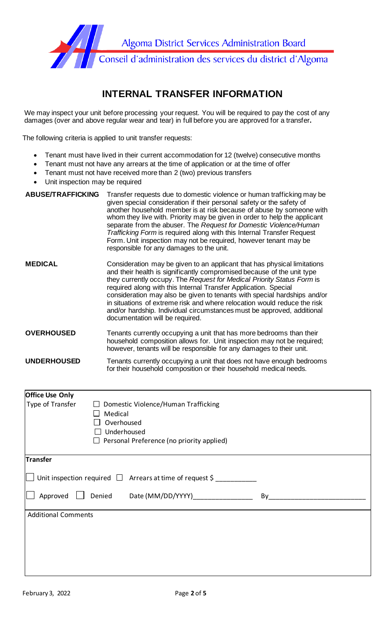

# **INTERNAL TRANSFER INFORMATION**

We may inspect your unit before processing your request. You will be required to pay the cost of any damages (over and above regular wear and tear) in full before you are approved for a transfer**.**

The following criteria is applied to unit transfer requests:

- Tenant must have lived in their current accommodation for 12 (twelve) consecutive months
- Tenant must not have any arrears at the time of application or at the time of offer
- Tenant must not have received more than 2 (two) previous transfers
- Unit inspection may be required

| <b>ABUSE/TRAFFICKING</b> | Transfer requests due to domestic violence or human trafficking may be<br>given special consideration if their personal safety or the safety of<br>another household member is at risk because of abuse by someone with<br>whom they live with. Priority may be given in order to help the applicant<br>separate from the abuser. The Request for Domestic Violence/Human<br>Trafficking Form is required along with this Internal Transfer Request<br>Form. Unit inspection may not be required, however tenant may be<br>responsible for any damages to the unit.  |
|--------------------------|----------------------------------------------------------------------------------------------------------------------------------------------------------------------------------------------------------------------------------------------------------------------------------------------------------------------------------------------------------------------------------------------------------------------------------------------------------------------------------------------------------------------------------------------------------------------|
| <b>MEDICAL</b>           | Consideration may be given to an applicant that has physical limitations<br>and their health is significantly compromised because of the unit type<br>they currently occupy. The Request for Medical Priority Status Form is<br>required along with this Internal Transfer Application. Special<br>consideration may also be given to tenants with special hardships and/or<br>in situations of extreme risk and where relocation would reduce the risk<br>and/or hardship. Individual circumstances must be approved, additional<br>documentation will be required. |
| <b>OVERHOUSED</b>        | Tenants currently occupying a unit that has more bedrooms than their<br>household composition allows for. Unit inspection may not be required;<br>however, tenants will be responsible for any damages to their unit.                                                                                                                                                                                                                                                                                                                                                |
| <b>UNDERHOUSED</b>       | Tenants currently occupying a unit that does not have enough bedrooms<br>for their household composition or their household medical needs.                                                                                                                                                                                                                                                                                                                                                                                                                           |

| <b>Office Use Only</b>     |                                                               |
|----------------------------|---------------------------------------------------------------|
| Type of Transfer           | Domestic Violence/Human Trafficking                           |
|                            | Medical                                                       |
|                            | Overhoused                                                    |
|                            | Underhoused                                                   |
|                            | $\Box$ Personal Preference (no priority applied)              |
|                            |                                                               |
| Transfer                   |                                                               |
|                            | Unit inspection required $\Box$ Arrears at time of request \$ |
| Approved                   | Denied<br>Date (MM/DD/YYYY)<br>By                             |
| <b>Additional Comments</b> |                                                               |
|                            |                                                               |
|                            |                                                               |
|                            |                                                               |
|                            |                                                               |
|                            |                                                               |
|                            |                                                               |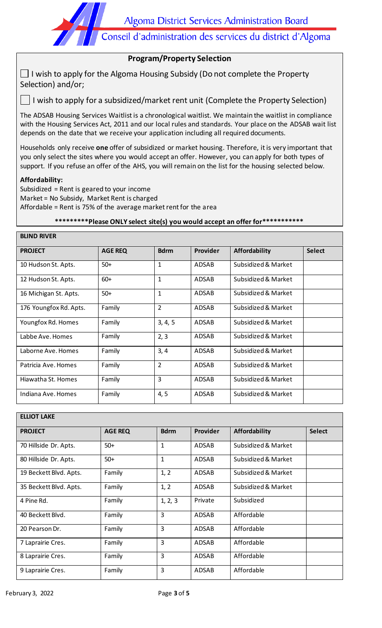Algoma District Services Administration Board

Conseil d'administration des services du district d'Algoma

# **Program/Property Selection**

 $\Box$  I wish to apply for the Algoma Housing Subsidy (Do not complete the Property Selection) and/or;

 $\Box$  I wish to apply for a subsidized/market rent unit (Complete the Property Selection)

The ADSAB Housing Services Waitlist is a chronological waitlist. We maintain the waitlist in compliance with the Housing Services Act, 2011 and our local rules and standards. Your place on the ADSAB wait list depends on the date that we receive your application including all required documents.

Households only receive **one** offer of subsidized or market housing. Therefore, it is very important that you only select the sites where you would accept an offer. However, you can apply for both types of support. If you refuse an offer of the AHS, you will remain on the list for the housing selected below.

#### **Affordability:**

**BLIND RIVER** 

Subsidized = Rent is geared to your income Market = No Subsidy, Market Rent is charged Affordable = Rent is 75% of the average market rent for the area

# **\*\*\*\*\*\*\*\*\*Please ONLY select site(s) you would accept an offer for\*\*\*\*\*\*\*\*\*\*\***

| <b>BLIND RIVER</b>     |                |                |                 |                     |               |  |  |
|------------------------|----------------|----------------|-----------------|---------------------|---------------|--|--|
| <b>PROJECT</b>         | <b>AGE REQ</b> | <b>Bdrm</b>    | <b>Provider</b> | Affordability       | <b>Select</b> |  |  |
| 10 Hudson St. Apts.    | $50+$          | $\mathbf{1}$   | ADSAB           | Subsidized & Market |               |  |  |
| 12 Hudson St. Apts.    | $60+$          | $\mathbf{1}$   | ADSAB           | Subsidized & Market |               |  |  |
| 16 Michigan St. Apts.  | $50+$          | $\mathbf{1}$   | ADSAB           | Subsidized & Market |               |  |  |
| 176 Youngfox Rd. Apts. | Family         | $\overline{2}$ | ADSAB           | Subsidized & Market |               |  |  |
| Youngfox Rd. Homes     | Family         | 3, 4, 5        | ADSAB           | Subsidized & Market |               |  |  |
| Labbe Ave. Homes       | Family         | 2, 3           | ADSAB           | Subsidized & Market |               |  |  |
| Laborne Ave. Homes     | Family         | 3, 4           | ADSAB           | Subsidized & Market |               |  |  |
| Patricia Ave. Homes    | Family         | 2              | ADSAB           | Subsidized & Market |               |  |  |
| Hiawatha St. Homes     | Family         | 3              | ADSAB           | Subsidized & Market |               |  |  |
| Indiana Ave. Homes     | Family         | 4, 5           | ADSAB           | Subsidized & Market |               |  |  |

| <b>ELLIOT LAKE</b>     |                |              |                 |                     |               |  |
|------------------------|----------------|--------------|-----------------|---------------------|---------------|--|
| <b>PROJECT</b>         | <b>AGE REQ</b> | <b>Bdrm</b>  | <b>Provider</b> | Affordability       | <b>Select</b> |  |
| 70 Hillside Dr. Apts.  | $50+$          | $\mathbf{1}$ | <b>ADSAB</b>    | Subsidized & Market |               |  |
| 80 Hillside Dr. Apts.  | $50+$          | $\mathbf{1}$ | <b>ADSAB</b>    | Subsidized & Market |               |  |
| 19 Beckett Blvd. Apts. | Family         | 1, 2         | <b>ADSAB</b>    | Subsidized & Market |               |  |
| 35 Beckett Blvd. Apts. | Family         | 1, 2         | ADSAB           | Subsidized & Market |               |  |
| 4 Pine Rd.             | Family         | 1, 2, 3      | Private         | Subsidized          |               |  |
| 40 Beckett Blvd.       | Family         | 3            | <b>ADSAB</b>    | Affordable          |               |  |
| 20 Pearson Dr.         | Family         | 3            | <b>ADSAB</b>    | Affordable          |               |  |
| 7 Laprairie Cres.      | Family         | 3            | <b>ADSAB</b>    | Affordable          |               |  |
| 8 Laprairie Cres.      | Family         | 3            | <b>ADSAB</b>    | Affordable          |               |  |
| 9 Laprairie Cres.      | Family         | 3            | <b>ADSAB</b>    | Affordable          |               |  |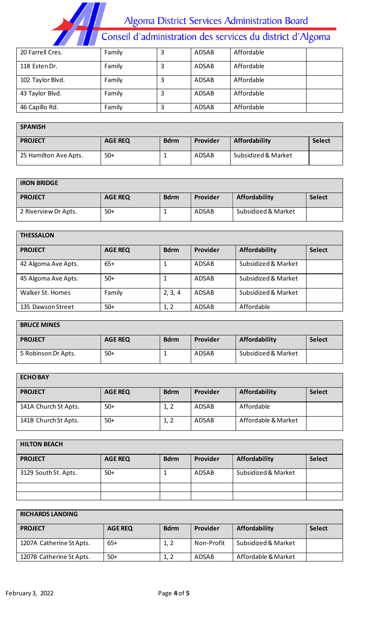Algoma District Services Administration Board<br>Conseil d'administration des services du district d'Algoma

| 20 Farrell Cres. | Family | 3 | <b>ADSAB</b> | Affordable |
|------------------|--------|---|--------------|------------|
| 118 Esten Dr.    | Family |   | ADSAB        | Affordable |
| 102 Taylor Blvd. | Family | 3 | ADSAB        | Affordable |
| 43 Taylor Blvd.  | Family | 3 | ADSAB        | Affordable |
| 46 Capillo Rd.   | Family |   | <b>ADSAB</b> | Affordable |

| <b>SPANISH</b>        |                |             |          |                     |               |
|-----------------------|----------------|-------------|----------|---------------------|---------------|
| <b>PROJECT</b>        | <b>AGE REQ</b> | <b>Bdrm</b> | Provider | Affordability       | <b>Select</b> |
| 25 Hamilton Ave Apts. | $50+$          |             | ADSAB    | Subsidized & Market |               |

#### **IRON BRIDGE**

| <b>PROJECT</b>       | <b>AGE REQ</b> | <b>Bdrm</b> | Provider | Affordability       | <b>Select</b> |
|----------------------|----------------|-------------|----------|---------------------|---------------|
| 2 Riverview Dr Apts. | $50+$          |             | ADSAB    | Subsidized & Market |               |

| <b>THESSALON</b>    |                |             |              |                     |               |
|---------------------|----------------|-------------|--------------|---------------------|---------------|
| <b>PROJECT</b>      | <b>AGE REQ</b> | <b>Bdrm</b> | Provider     | Affordability       | <b>Select</b> |
| 42 Algoma Ave Apts. | $65+$          |             | ADSAB        | Subsidized & Market |               |
| 45 Algoma Ave Apts. | $50+$          |             | ADSAB        | Subsidized & Market |               |
| Walker St. Homes    | Family         | 2, 3, 4     | <b>ADSAB</b> | Subsidized & Market |               |
| 135 Dawson Street   | $50+$          | 1, 2        | <b>ADSAB</b> | Affordable          |               |

# **BRUCE MINES**

| <b>PROJECT</b>      | <b>AGE REQ</b> | <b>Bdrm</b> | Provider     | Affordability       | <b>Select</b> |
|---------------------|----------------|-------------|--------------|---------------------|---------------|
|                     |                |             |              |                     |               |
| 5 Robinson Dr Apts. | $50+$          |             | <b>ADSAB</b> | Subsidized & Market |               |
|                     |                |             |              |                     |               |

| <b>ECHOBAY</b>       |                |             |                 |                     |               |  |
|----------------------|----------------|-------------|-----------------|---------------------|---------------|--|
| <b>PROJECT</b>       | <b>AGE REQ</b> | <b>Bdrm</b> | <b>Provider</b> | Affordability       | <b>Select</b> |  |
| 141A Church St Apts. | $50+$          | 1, 2        | ADSAB           | Affordable          |               |  |
| 141B Church St Apts. | $50+$          | 1, 2        | ADSAB           | Affordable & Market |               |  |

| <b>HILTON BEACH</b>  |                |             |          |                     |               |  |
|----------------------|----------------|-------------|----------|---------------------|---------------|--|
| <b>PROJECT</b>       | <b>AGE REQ</b> | <b>Bdrm</b> | Provider | Affordability       | <b>Select</b> |  |
| 3129 South St. Apts. | $50+$          |             | ADSAB    | Subsidized & Market |               |  |
|                      |                |             |          |                     |               |  |
|                      |                |             |          |                     |               |  |

| <b>RICHARDS LANDING</b>  |                |             |            |                     |               |  |
|--------------------------|----------------|-------------|------------|---------------------|---------------|--|
| <b>PROJECT</b>           | <b>AGE REQ</b> | <b>Bdrm</b> | Provider   | Affordability       | <b>Select</b> |  |
| 1207A Catherine St Apts. | $65+$          | 1, 2        | Non-Profit | Subsidized & Market |               |  |
| 1207B Catherine St Apts. | $50+$          |             | ADSAB      | Affordable & Market |               |  |